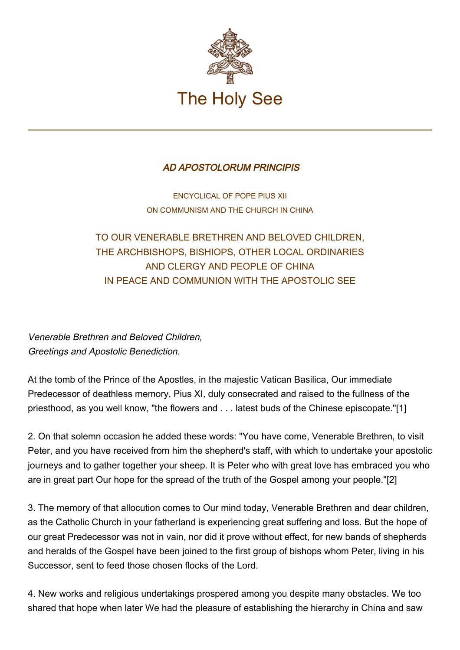

## AD APOSTOLORUM PRINCIPIS

ENCYCLICAL OF POPE PIUS XII ON COMMUNISM AND THE CHURCH IN CHINA

TO OUR VENERABLE BRETHREN AND BELOVED CHILDREN, THE ARCHBISHOPS, BISHIOPS, OTHER LOCAL ORDINARIES AND CLERGY AND PEOPLE OF CHINA IN PEACE AND COMMUNION WITH THE APOSTOLIC SEE

Venerable Brethren and Beloved Children, Greetings and Apostolic Benediction.

At the tomb of the Prince of the Apostles, in the majestic Vatican Basilica, Our immediate Predecessor of deathless memory, Pius XI, duly consecrated and raised to the fullness of the priesthood, as you well know, "the flowers and . . . latest buds of the Chinese episcopate."[1]

2. On that solemn occasion he added these words: "You have come, Venerable Brethren, to visit Peter, and you have received from him the shepherd's staff, with which to undertake your apostolic journeys and to gather together your sheep. It is Peter who with great love has embraced you who are in great part Our hope for the spread of the truth of the Gospel among your people."[2]

3. The memory of that allocution comes to Our mind today, Venerable Brethren and dear children, as the Catholic Church in your fatherland is experiencing great suffering and loss. But the hope of our great Predecessor was not in vain, nor did it prove without effect, for new bands of shepherds and heralds of the Gospel have been joined to the first group of bishops whom Peter, living in his Successor, sent to feed those chosen flocks of the Lord.

4. New works and religious undertakings prospered among you despite many obstacles. We too shared that hope when later We had the pleasure of establishing the hierarchy in China and saw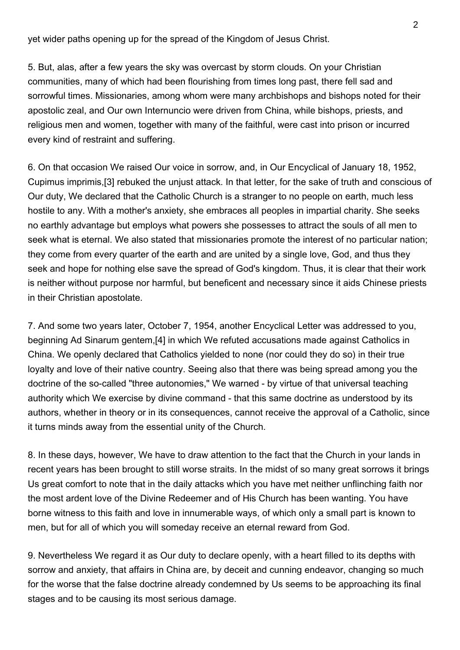yet wider paths opening up for the spread of the Kingdom of Jesus Christ.

5. But, alas, after a few years the sky was overcast by storm clouds. On your Christian communities, many of which had been flourishing from times long past, there fell sad and sorrowful times. Missionaries, among whom were many archbishops and bishops noted for their apostolic zeal, and Our own Internuncio were driven from China, while bishops, priests, and religious men and women, together with many of the faithful, were cast into prison or incurred every kind of restraint and suffering.

6. On that occasion We raised Our voice in sorrow, and, in Our Encyclical of January 18, 1952, Cupimus imprimis,[3] rebuked the unjust attack. In that letter, for the sake of truth and conscious of Our duty, We declared that the Catholic Church is a stranger to no people on earth, much less hostile to any. With a mother's anxiety, she embraces all peoples in impartial charity. She seeks no earthly advantage but employs what powers she possesses to attract the souls of all men to seek what is eternal. We also stated that missionaries promote the interest of no particular nation; they come from every quarter of the earth and are united by a single love, God, and thus they seek and hope for nothing else save the spread of God's kingdom. Thus, it is clear that their work is neither without purpose nor harmful, but beneficent and necessary since it aids Chinese priests in their Christian apostolate.

7. And some two years later, October 7, 1954, another Encyclical Letter was addressed to you, beginning Ad Sinarum gentem,[4] in which We refuted accusations made against Catholics in China. We openly declared that Catholics yielded to none (nor could they do so) in their true loyalty and love of their native country. Seeing also that there was being spread among you the doctrine of the so-called "three autonomies," We warned - by virtue of that universal teaching authority which We exercise by divine command - that this same doctrine as understood by its authors, whether in theory or in its consequences, cannot receive the approval of a Catholic, since it turns minds away from the essential unity of the Church.

8. In these days, however, We have to draw attention to the fact that the Church in your lands in recent years has been brought to still worse straits. In the midst of so many great sorrows it brings Us great comfort to note that in the daily attacks which you have met neither unflinching faith nor the most ardent love of the Divine Redeemer and of His Church has been wanting. You have borne witness to this faith and love in innumerable ways, of which only a small part is known to men, but for all of which you will someday receive an eternal reward from God.

9. Nevertheless We regard it as Our duty to declare openly, with a heart filled to its depths with sorrow and anxiety, that affairs in China are, by deceit and cunning endeavor, changing so much for the worse that the false doctrine already condemned by Us seems to be approaching its final stages and to be causing its most serious damage.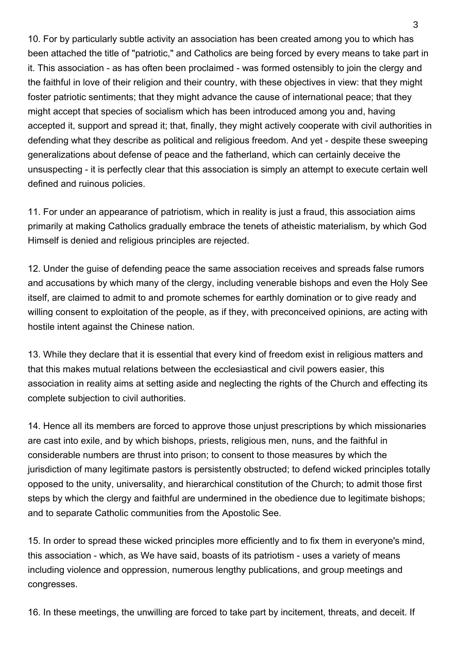10. For by particularly subtle activity an association has been created among you to which has been attached the title of "patriotic," and Catholics are being forced by every means to take part in it. This association - as has often been proclaimed - was formed ostensibly to join the clergy and the faithful in love of their religion and their country, with these objectives in view: that they might foster patriotic sentiments; that they might advance the cause of international peace; that they might accept that species of socialism which has been introduced among you and, having accepted it, support and spread it; that, finally, they might actively cooperate with civil authorities in defending what they describe as political and religious freedom. And yet - despite these sweeping generalizations about defense of peace and the fatherland, which can certainly deceive the unsuspecting - it is perfectly clear that this association is simply an attempt to execute certain well defined and ruinous policies.

11. For under an appearance of patriotism, which in reality is just a fraud, this association aims primarily at making Catholics gradually embrace the tenets of atheistic materialism, by which God Himself is denied and religious principles are rejected.

12. Under the guise of defending peace the same association receives and spreads false rumors and accusations by which many of the clergy, including venerable bishops and even the Holy See itself, are claimed to admit to and promote schemes for earthly domination or to give ready and willing consent to exploitation of the people, as if they, with preconceived opinions, are acting with hostile intent against the Chinese nation.

13. While they declare that it is essential that every kind of freedom exist in religious matters and that this makes mutual relations between the ecclesiastical and civil powers easier, this association in reality aims at setting aside and neglecting the rights of the Church and effecting its complete subjection to civil authorities.

14. Hence all its members are forced to approve those unjust prescriptions by which missionaries are cast into exile, and by which bishops, priests, religious men, nuns, and the faithful in considerable numbers are thrust into prison; to consent to those measures by which the jurisdiction of many legitimate pastors is persistently obstructed; to defend wicked principles totally opposed to the unity, universality, and hierarchical constitution of the Church; to admit those first steps by which the clergy and faithful are undermined in the obedience due to legitimate bishops; and to separate Catholic communities from the Apostolic See.

15. In order to spread these wicked principles more efficiently and to fix them in everyone's mind, this association - which, as We have said, boasts of its patriotism - uses a variety of means including violence and oppression, numerous lengthy publications, and group meetings and congresses.

16. In these meetings, the unwilling are forced to take part by incitement, threats, and deceit. If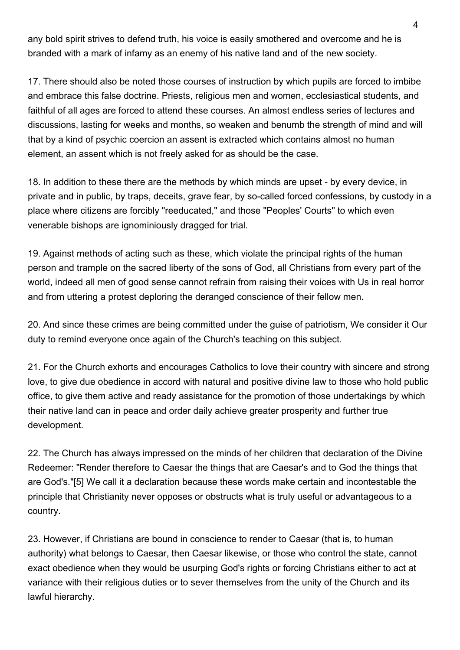any bold spirit strives to defend truth, his voice is easily smothered and overcome and he is branded with a mark of infamy as an enemy of his native land and of the new society.

17. There should also be noted those courses of instruction by which pupils are forced to imbibe and embrace this false doctrine. Priests, religious men and women, ecclesiastical students, and faithful of all ages are forced to attend these courses. An almost endless series of lectures and discussions, lasting for weeks and months, so weaken and benumb the strength of mind and will that by a kind of psychic coercion an assent is extracted which contains almost no human element, an assent which is not freely asked for as should be the case.

18. In addition to these there are the methods by which minds are upset - by every device, in private and in public, by traps, deceits, grave fear, by so-called forced confessions, by custody in a place where citizens are forcibly "reeducated," and those "Peoples' Courts" to which even venerable bishops are ignominiously dragged for trial.

19. Against methods of acting such as these, which violate the principal rights of the human person and trample on the sacred liberty of the sons of God, all Christians from every part of the world, indeed all men of good sense cannot refrain from raising their voices with Us in real horror and from uttering a protest deploring the deranged conscience of their fellow men.

20. And since these crimes are being committed under the guise of patriotism, We consider it Our duty to remind everyone once again of the Church's teaching on this subject.

21. For the Church exhorts and encourages Catholics to love their country with sincere and strong love, to give due obedience in accord with natural and positive divine law to those who hold public office, to give them active and ready assistance for the promotion of those undertakings by which their native land can in peace and order daily achieve greater prosperity and further true development.

22. The Church has always impressed on the minds of her children that declaration of the Divine Redeemer: "Render therefore to Caesar the things that are Caesar's and to God the things that are God's."[5] We call it a declaration because these words make certain and incontestable the principle that Christianity never opposes or obstructs what is truly useful or advantageous to a country.

23. However, if Christians are bound in conscience to render to Caesar (that is, to human authority) what belongs to Caesar, then Caesar likewise, or those who control the state, cannot exact obedience when they would be usurping God's rights or forcing Christians either to act at variance with their religious duties or to sever themselves from the unity of the Church and its lawful hierarchy.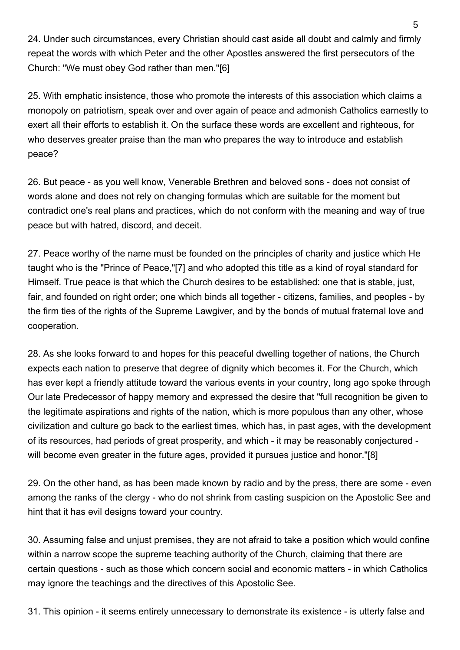24. Under such circumstances, every Christian should cast aside all doubt and calmly and firmly repeat the words with which Peter and the other Apostles answered the first persecutors of the Church: "We must obey God rather than men."[6]

25. With emphatic insistence, those who promote the interests of this association which claims a monopoly on patriotism, speak over and over again of peace and admonish Catholics earnestly to exert all their efforts to establish it. On the surface these words are excellent and righteous, for who deserves greater praise than the man who prepares the way to introduce and establish peace?

26. But peace - as you well know, Venerable Brethren and beloved sons - does not consist of words alone and does not rely on changing formulas which are suitable for the moment but contradict one's real plans and practices, which do not conform with the meaning and way of true peace but with hatred, discord, and deceit.

27. Peace worthy of the name must be founded on the principles of charity and justice which He taught who is the "Prince of Peace,"[7] and who adopted this title as a kind of royal standard for Himself. True peace is that which the Church desires to be established: one that is stable, just, fair, and founded on right order; one which binds all together - citizens, families, and peoples - by the firm ties of the rights of the Supreme Lawgiver, and by the bonds of mutual fraternal love and cooperation.

28. As she looks forward to and hopes for this peaceful dwelling together of nations, the Church expects each nation to preserve that degree of dignity which becomes it. For the Church, which has ever kept a friendly attitude toward the various events in your country, long ago spoke through Our late Predecessor of happy memory and expressed the desire that "full recognition be given to the legitimate aspirations and rights of the nation, which is more populous than any other, whose civilization and culture go back to the earliest times, which has, in past ages, with the development of its resources, had periods of great prosperity, and which - it may be reasonably conjectured will become even greater in the future ages, provided it pursues justice and honor."[8]

29. On the other hand, as has been made known by radio and by the press, there are some - even among the ranks of the clergy - who do not shrink from casting suspicion on the Apostolic See and hint that it has evil designs toward your country.

30. Assuming false and unjust premises, they are not afraid to take a position which would confine within a narrow scope the supreme teaching authority of the Church, claiming that there are certain questions - such as those which concern social and economic matters - in which Catholics may ignore the teachings and the directives of this Apostolic See.

31. This opinion - it seems entirely unnecessary to demonstrate its existence - is utterly false and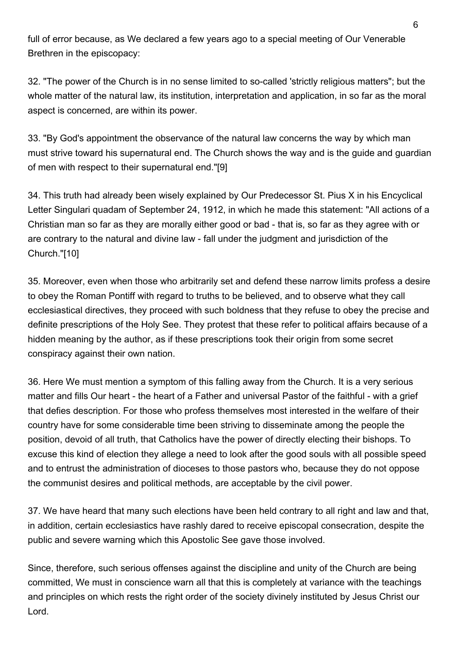full of error because, as We declared a few years ago to a special meeting of Our Venerable Brethren in the episcopacy:

32. "The power of the Church is in no sense limited to so-called 'strictly religious matters"; but the whole matter of the natural law, its institution, interpretation and application, in so far as the moral aspect is concerned, are within its power.

33. "By God's appointment the observance of the natural law concerns the way by which man must strive toward his supernatural end. The Church shows the way and is the guide and guardian of men with respect to their supernatural end."[9]

34. This truth had already been wisely explained by Our Predecessor St. Pius X in his Encyclical Letter Singulari quadam of September 24, 1912, in which he made this statement: "All actions of a Christian man so far as they are morally either good or bad - that is, so far as they agree with or are contrary to the natural and divine law - fall under the judgment and jurisdiction of the Church."[10]

35. Moreover, even when those who arbitrarily set and defend these narrow limits profess a desire to obey the Roman Pontiff with regard to truths to be believed, and to observe what they call ecclesiastical directives, they proceed with such boldness that they refuse to obey the precise and definite prescriptions of the Holy See. They protest that these refer to political affairs because of a hidden meaning by the author, as if these prescriptions took their origin from some secret conspiracy against their own nation.

36. Here We must mention a symptom of this falling away from the Church. It is a very serious matter and fills Our heart - the heart of a Father and universal Pastor of the faithful - with a grief that defies description. For those who profess themselves most interested in the welfare of their country have for some considerable time been striving to disseminate among the people the position, devoid of all truth, that Catholics have the power of directly electing their bishops. To excuse this kind of election they allege a need to look after the good souls with all possible speed and to entrust the administration of dioceses to those pastors who, because they do not oppose the communist desires and political methods, are acceptable by the civil power.

37. We have heard that many such elections have been held contrary to all right and law and that, in addition, certain ecclesiastics have rashly dared to receive episcopal consecration, despite the public and severe warning which this Apostolic See gave those involved.

Since, therefore, such serious offenses against the discipline and unity of the Church are being committed, We must in conscience warn all that this is completely at variance with the teachings and principles on which rests the right order of the society divinely instituted by Jesus Christ our Lord.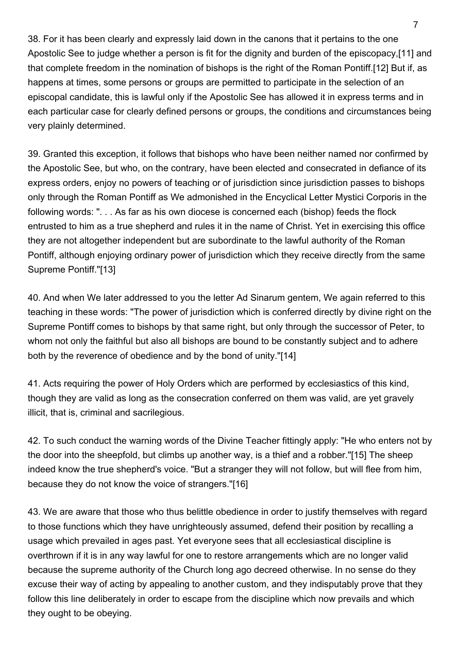38. For it has been clearly and expressly laid down in the canons that it pertains to the one Apostolic See to judge whether a person is fit for the dignity and burden of the episcopacy,[11] and that complete freedom in the nomination of bishops is the right of the Roman Pontiff.[12] But if, as happens at times, some persons or groups are permitted to participate in the selection of an episcopal candidate, this is lawful only if the Apostolic See has allowed it in express terms and in each particular case for clearly defined persons or groups, the conditions and circumstances being very plainly determined.

39. Granted this exception, it follows that bishops who have been neither named nor confirmed by the Apostolic See, but who, on the contrary, have been elected and consecrated in defiance of its express orders, enjoy no powers of teaching or of jurisdiction since jurisdiction passes to bishops only through the Roman Pontiff as We admonished in the Encyclical Letter Mystici Corporis in the following words: ". . . As far as his own diocese is concerned each (bishop) feeds the flock entrusted to him as a true shepherd and rules it in the name of Christ. Yet in exercising this office they are not altogether independent but are subordinate to the lawful authority of the Roman Pontiff, although enjoying ordinary power of jurisdiction which they receive directly from the same Supreme Pontiff."[13]

40. And when We later addressed to you the letter Ad Sinarum gentem, We again referred to this teaching in these words: "The power of jurisdiction which is conferred directly by divine right on the Supreme Pontiff comes to bishops by that same right, but only through the successor of Peter, to whom not only the faithful but also all bishops are bound to be constantly subject and to adhere both by the reverence of obedience and by the bond of unity."[14]

41. Acts requiring the power of Holy Orders which are performed by ecclesiastics of this kind, though they are valid as long as the consecration conferred on them was valid, are yet gravely illicit, that is, criminal and sacrilegious.

42. To such conduct the warning words of the Divine Teacher fittingly apply: "He who enters not by the door into the sheepfold, but climbs up another way, is a thief and a robber."[15] The sheep indeed know the true shepherd's voice. "But a stranger they will not follow, but will flee from him, because they do not know the voice of strangers."[16]

43. We are aware that those who thus belittle obedience in order to justify themselves with regard to those functions which they have unrighteously assumed, defend their position by recalling a usage which prevailed in ages past. Yet everyone sees that all ecclesiastical discipline is overthrown if it is in any way lawful for one to restore arrangements which are no longer valid because the supreme authority of the Church long ago decreed otherwise. In no sense do they excuse their way of acting by appealing to another custom, and they indisputably prove that they follow this line deliberately in order to escape from the discipline which now prevails and which they ought to be obeying.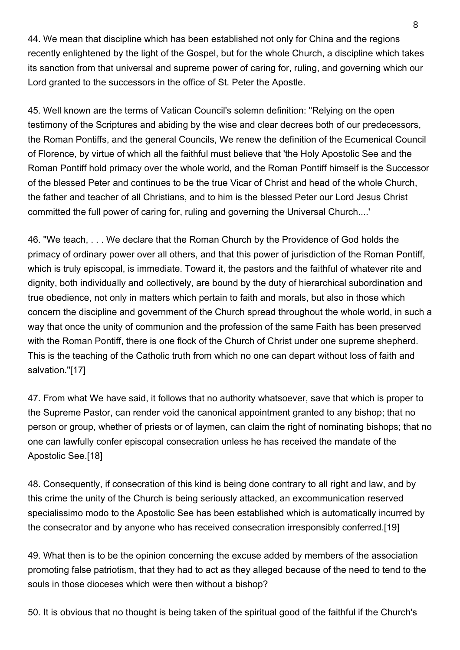44. We mean that discipline which has been established not only for China and the regions recently enlightened by the light of the Gospel, but for the whole Church, a discipline which takes its sanction from that universal and supreme power of caring for, ruling, and governing which our Lord granted to the successors in the office of St. Peter the Apostle.

45. Well known are the terms of Vatican Council's solemn definition: "Relying on the open testimony of the Scriptures and abiding by the wise and clear decrees both of our predecessors, the Roman Pontiffs, and the general Councils, We renew the definition of the Ecumenical Council of Florence, by virtue of which all the faithful must believe that 'the Holy Apostolic See and the Roman Pontiff hold primacy over the whole world, and the Roman Pontiff himself is the Successor of the blessed Peter and continues to be the true Vicar of Christ and head of the whole Church, the father and teacher of all Christians, and to him is the blessed Peter our Lord Jesus Christ committed the full power of caring for, ruling and governing the Universal Church....'

46. "We teach, . . . We declare that the Roman Church by the Providence of God holds the primacy of ordinary power over all others, and that this power of jurisdiction of the Roman Pontiff, which is truly episcopal, is immediate. Toward it, the pastors and the faithful of whatever rite and dignity, both individually and collectively, are bound by the duty of hierarchical subordination and true obedience, not only in matters which pertain to faith and morals, but also in those which concern the discipline and government of the Church spread throughout the whole world, in such a way that once the unity of communion and the profession of the same Faith has been preserved with the Roman Pontiff, there is one flock of the Church of Christ under one supreme shepherd. This is the teaching of the Catholic truth from which no one can depart without loss of faith and salvation."[17]

47. From what We have said, it follows that no authority whatsoever, save that which is proper to the Supreme Pastor, can render void the canonical appointment granted to any bishop; that no person or group, whether of priests or of laymen, can claim the right of nominating bishops; that no one can lawfully confer episcopal consecration unless he has received the mandate of the Apostolic See.[18]

48. Consequently, if consecration of this kind is being done contrary to all right and law, and by this crime the unity of the Church is being seriously attacked, an excommunication reserved specialissimo modo to the Apostolic See has been established which is automatically incurred by the consecrator and by anyone who has received consecration irresponsibly conferred.[19]

49. What then is to be the opinion concerning the excuse added by members of the association promoting false patriotism, that they had to act as they alleged because of the need to tend to the souls in those dioceses which were then without a bishop?

50. It is obvious that no thought is being taken of the spiritual good of the faithful if the Church's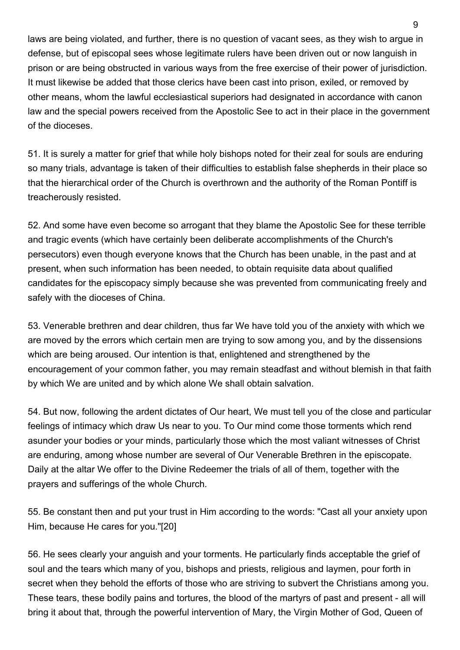laws are being violated, and further, there is no question of vacant sees, as they wish to argue in defense, but of episcopal sees whose legitimate rulers have been driven out or now languish in prison or are being obstructed in various ways from the free exercise of their power of jurisdiction. It must likewise be added that those clerics have been cast into prison, exiled, or removed by other means, whom the lawful ecclesiastical superiors had designated in accordance with canon law and the special powers received from the Apostolic See to act in their place in the government of the dioceses.

51. It is surely a matter for grief that while holy bishops noted for their zeal for souls are enduring so many trials, advantage is taken of their difficulties to establish false shepherds in their place so that the hierarchical order of the Church is overthrown and the authority of the Roman Pontiff is treacherously resisted.

52. And some have even become so arrogant that they blame the Apostolic See for these terrible and tragic events (which have certainly been deliberate accomplishments of the Church's persecutors) even though everyone knows that the Church has been unable, in the past and at present, when such information has been needed, to obtain requisite data about qualified candidates for the episcopacy simply because she was prevented from communicating freely and safely with the dioceses of China.

53. Venerable brethren and dear children, thus far We have told you of the anxiety with which we are moved by the errors which certain men are trying to sow among you, and by the dissensions which are being aroused. Our intention is that, enlightened and strengthened by the encouragement of your common father, you may remain steadfast and without blemish in that faith by which We are united and by which alone We shall obtain salvation.

54. But now, following the ardent dictates of Our heart, We must tell you of the close and particular feelings of intimacy which draw Us near to you. To Our mind come those torments which rend asunder your bodies or your minds, particularly those which the most valiant witnesses of Christ are enduring, among whose number are several of Our Venerable Brethren in the episcopate. Daily at the altar We offer to the Divine Redeemer the trials of all of them, together with the prayers and sufferings of the whole Church.

55. Be constant then and put your trust in Him according to the words: "Cast all your anxiety upon Him, because He cares for you."[20]

56. He sees clearly your anguish and your torments. He particularly finds acceptable the grief of soul and the tears which many of you, bishops and priests, religious and laymen, pour forth in secret when they behold the efforts of those who are striving to subvert the Christians among you. These tears, these bodily pains and tortures, the blood of the martyrs of past and present - all will bring it about that, through the powerful intervention of Mary, the Virgin Mother of God, Queen of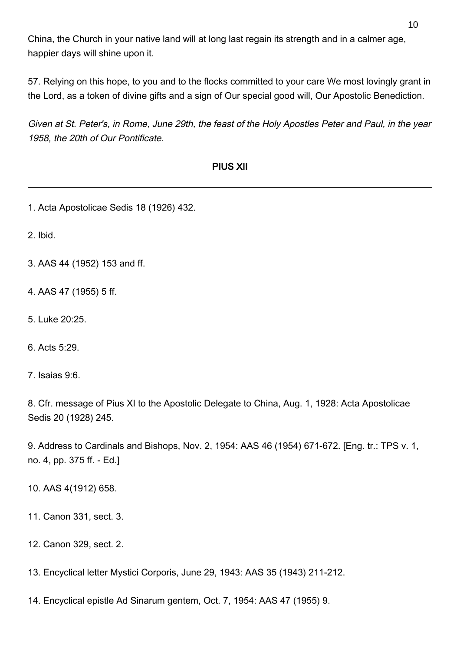China, the Church in your native land will at long last regain its strength and in a calmer age, happier days will shine upon it.

57. Relying on this hope, to you and to the flocks committed to your care We most lovingly grant in the Lord, as a token of divine gifts and a sign of Our special good will, Our Apostolic Benediction.

Given at St. Peter's, in Rome, June 29th, the feast of the Holy Apostles Peter and Paul, in the year 1958, the 20th of Our Pontificate.

## PIUS XII

1. Acta Apostolicae Sedis 18 (1926) 432.

2. Ibid.

- 3. AAS 44 (1952) 153 and ff.
- 4. AAS 47 (1955) 5 ff.
- 5. Luke 20:25.

6. Acts 5:29.

7. Isaias 9:6.

8. Cfr. message of Pius XI to the Apostolic Delegate to China, Aug. 1, 1928: Acta Apostolicae Sedis 20 (1928) 245.

9. Address to Cardinals and Bishops, Nov. 2, 1954: AAS 46 (1954) 671-672. [Eng. tr.: TPS v. 1, no. 4, pp. 375 ff. - Ed.]

10. AAS 4(1912) 658.

11. Canon 331, sect. 3.

12. Canon 329, sect. 2.

13. Encyclical letter Mystici Corporis, June 29, 1943: AAS 35 (1943) 211-212.

14. Encyclical epistle Ad Sinarum gentem, Oct. 7, 1954: AAS 47 (1955) 9.